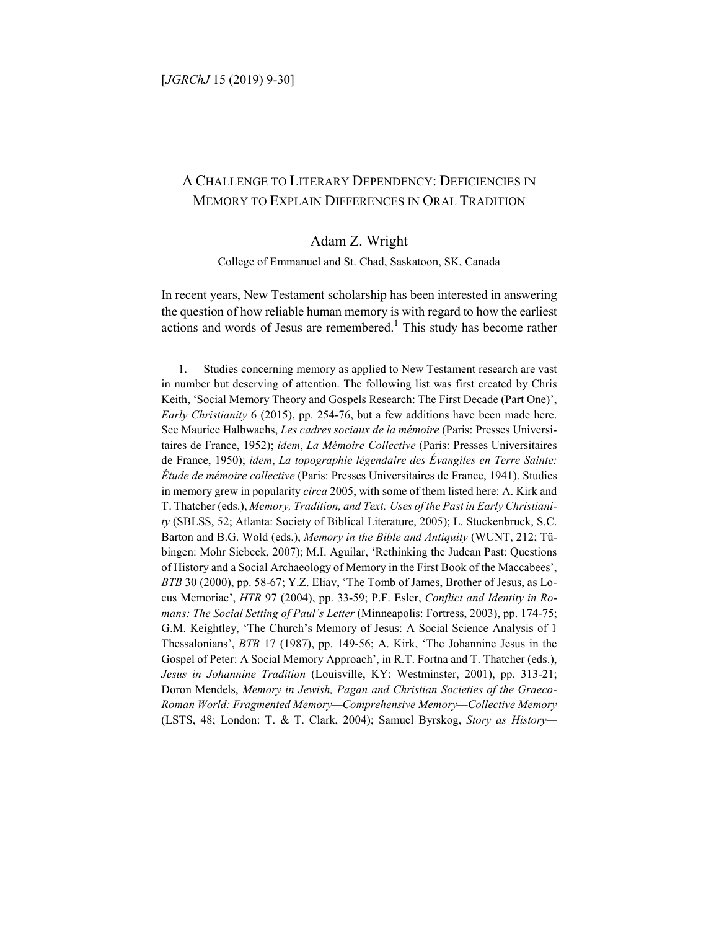# A CHALLENGE TO LITERARY DEPENDENCY: DEFICIENCIES IN MEMORY TO EXPLAIN DIFFERENCES IN ORAL TRADITION

## Adam Z. Wright

College of Emmanuel and St. Chad, Saskatoon, SK, Canada

In recent years, New Testament scholarship has been interested in answering the question of how reliable human memory is with regard to how the earliest actions and words of Jesus are remembered.<sup>1</sup> This study has become rather

1. Studies concerning memory as applied to New Testament research are vast in number but deserving of attention. The following list was first created by Chris Keith, 'Social Memory Theory and Gospels Research: The First Decade (Part One)', *Early Christianity* 6 (2015), pp. 254-76, but a few additions have been made here. See Maurice Halbwachs, *Les cadres sociaux de la mémoire* (Paris: Presses Universitaires de France, 1952); *idem*, *La Mémoire Collective* (Paris: Presses Universitaires de France, 1950); *idem*, *La topographie légendaire des Évangiles en Terre Sainte: Étude de mémoire collective* (Paris: Presses Universitaires de France, 1941). Studies in memory grew in popularity *circa* 2005, with some of them listed here: A. Kirk and T. Thatcher (eds.), *Memory, Tradition, and Text: Uses of the Past in Early Christianity* (SBLSS, 52; Atlanta: Society of Biblical Literature, 2005); L. Stuckenbruck, S.C. Barton and B.G. Wold (eds.), *Memory in the Bible and Antiquity* (WUNT, 212; Tübingen: Mohr Siebeck, 2007); M.I. Aguilar, 'Rethinking the Judean Past: Questions of History and a Social Archaeology of Memory in the First Book of the Maccabees', *BTB* 30 (2000), pp. 58-67; Y.Z. Eliav, 'The Tomb of James, Brother of Jesus, as Locus Memoriae', *HTR* 97 (2004), pp. 33-59; P.F. Esler, *Conflict and Identity in Romans: The Social Setting of Paul's Letter* (Minneapolis: Fortress, 2003), pp. 174-75; G.M. Keightley, 'The Church's Memory of Jesus: A Social Science Analysis of 1 Thessalonians', *BTB* 17 (1987), pp. 149-56; A. Kirk, 'The Johannine Jesus in the Gospel of Peter: A Social Memory Approach', in R.T. Fortna and T. Thatcher (eds.), *Jesus in Johannine Tradition* (Louisville, KY: Westminster, 2001), pp. 313-21; Doron Mendels, *Memory in Jewish, Pagan and Christian Societies of the Graeco-Roman World: Fragmented Memory—Comprehensive Memory—Collective Memory* (LSTS, 48; London: T. & T. Clark, 2004); Samuel Byrskog, *Story as History—*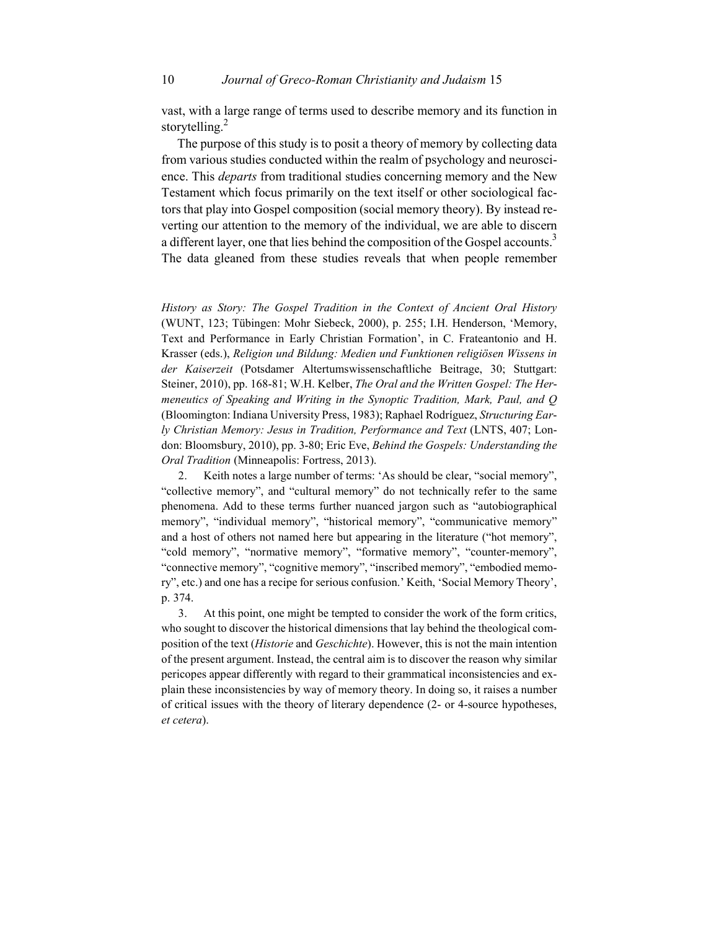vast, with a large range of terms used to describe memory and its function in storytelling.<sup>2</sup>

The purpose of this study is to posit a theory of memory by collecting data from various studies conducted within the realm of psychology and neuroscience. This *departs* from traditional studies concerning memory and the New Testament which focus primarily on the text itself or other sociological factors that play into Gospel composition (social memory theory). By instead reverting our attention to the memory of the individual, we are able to discern a different layer, one that lies behind the composition of the Gospel accounts.<sup>3</sup> The data gleaned from these studies reveals that when people remember

*History as Story: The Gospel Tradition in the Context of Ancient Oral History* (WUNT, 123; Tübingen: Mohr Siebeck, 2000), p. 255; I.H. Henderson, 'Memory, Text and Performance in Early Christian Formation', in C. Frateantonio and H. Krasser (eds.), *Religion und Bildung: Medien und Funktionen religiösen Wissens in der Kaiserzeit* (Potsdamer Altertumswissenschaftliche Beitrage, 30; Stuttgart: Steiner, 2010), pp. 168-81; W.H. Kelber, *The Oral and the Written Gospel: The Hermeneutics of Speaking and Writing in the Synoptic Tradition, Mark, Paul, and Q* (Bloomington: Indiana University Press, 1983); Raphael Rodríguez, *Structuring Early Christian Memory: Jesus in Tradition, Performance and Text* (LNTS, 407; London: Bloomsbury, 2010), pp. 3-80; Eric Eve, *Behind the Gospels: Understanding the Oral Tradition* (Minneapolis: Fortress, 2013).

2. Keith notes a large number of terms: 'As should be clear, "social memory", "collective memory", and "cultural memory" do not technically refer to the same phenomena. Add to these terms further nuanced jargon such as "autobiographical memory", "individual memory", "historical memory", "communicative memory" and a host of others not named here but appearing in the literature ("hot memory", "cold memory", "normative memory", "formative memory", "counter-memory", "connective memory", "cognitive memory", "inscribed memory", "embodied memory", etc.) and one has a recipe for serious confusion.' Keith, 'Social Memory Theory', p. 374.

3. At this point, one might be tempted to consider the work of the form critics, who sought to discover the historical dimensions that lay behind the theological composition of the text (*Historie* and *Geschichte*). However, this is not the main intention of the present argument. Instead, the central aim is to discover the reason why similar pericopes appear differently with regard to their grammatical inconsistencies and explain these inconsistencies by way of memory theory. In doing so, it raises a number of critical issues with the theory of literary dependence (2- or 4-source hypotheses, *et cetera*).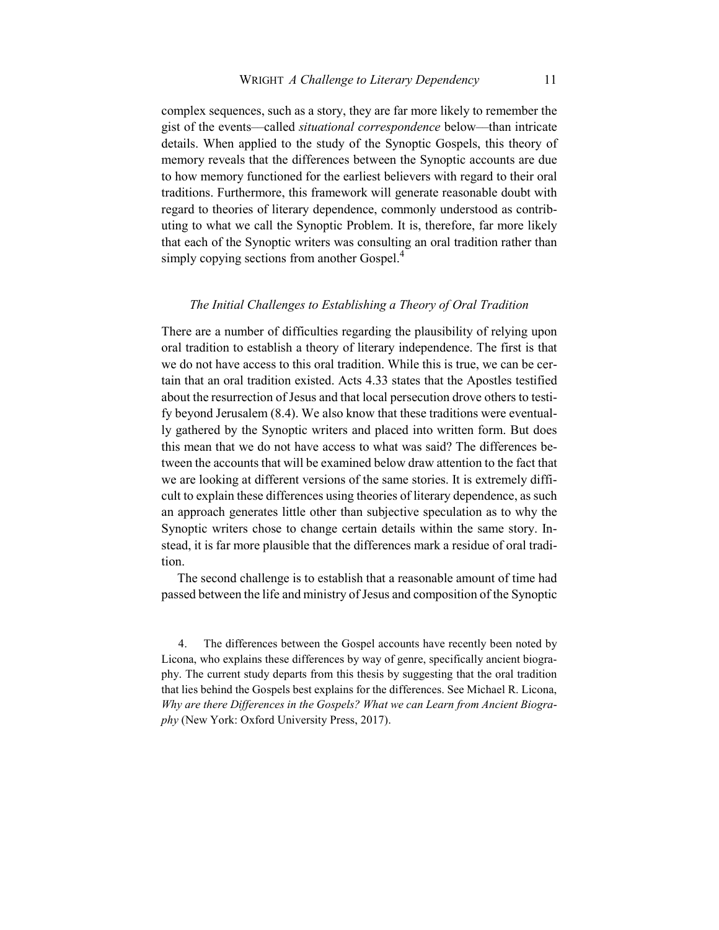complex sequences, such as a story, they are far more likely to remember the gist of the events––called *situational correspondence* below––than intricate details. When applied to the study of the Synoptic Gospels, this theory of memory reveals that the differences between the Synoptic accounts are due to how memory functioned for the earliest believers with regard to their oral traditions. Furthermore, this framework will generate reasonable doubt with regard to theories of literary dependence, commonly understood as contributing to what we call the Synoptic Problem. It is, therefore, far more likely that each of the Synoptic writers was consulting an oral tradition rather than simply copying sections from another Gospel. $4$ 

### *The Initial Challenges to Establishing a Theory of Oral Tradition*

There are a number of difficulties regarding the plausibility of relying upon oral tradition to establish a theory of literary independence. The first is that we do not have access to this oral tradition. While this is true, we can be certain that an oral tradition existed. Acts 4.33 states that the Apostles testified about the resurrection of Jesus and that local persecution drove others to testify beyond Jerusalem (8.4). We also know that these traditions were eventually gathered by the Synoptic writers and placed into written form. But does this mean that we do not have access to what was said? The differences between the accounts that will be examined below draw attention to the fact that we are looking at different versions of the same stories. It is extremely difficult to explain these differences using theories of literary dependence, as such an approach generates little other than subjective speculation as to why the Synoptic writers chose to change certain details within the same story. Instead, it is far more plausible that the differences mark a residue of oral tradition.

The second challenge is to establish that a reasonable amount of time had passed between the life and ministry of Jesus and composition of the Synoptic

4. The differences between the Gospel accounts have recently been noted by Licona, who explains these differences by way of genre, specifically ancient biography. The current study departs from this thesis by suggesting that the oral tradition that lies behind the Gospels best explains for the differences. See Michael R. Licona, *Why are there Differences in the Gospels? What we can Learn from Ancient Biography* (New York: Oxford University Press, 2017).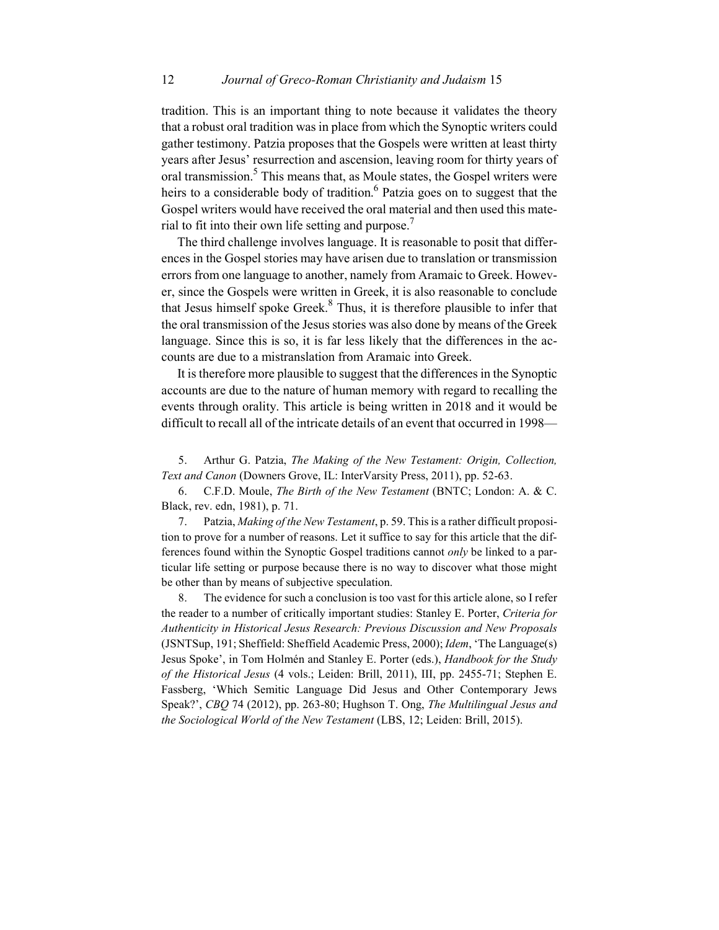tradition. This is an important thing to note because it validates the theory that a robust oral tradition was in place from which the Synoptic writers could gather testimony. Patzia proposes that the Gospels were written at least thirty years after Jesus' resurrection and ascension, leaving room for thirty years of oral transmission.<sup>5</sup> This means that, as Moule states, the Gospel writers were heirs to a considerable body of tradition.<sup>6</sup> Patzia goes on to suggest that the Gospel writers would have received the oral material and then used this material to fit into their own life setting and purpose.<sup>7</sup>

The third challenge involves language. It is reasonable to posit that differences in the Gospel stories may have arisen due to translation or transmission errors from one language to another, namely from Aramaic to Greek. However, since the Gospels were written in Greek, it is also reasonable to conclude that Jesus himself spoke Greek. $<sup>8</sup>$  Thus, it is therefore plausible to infer that</sup> the oral transmission of the Jesus stories was also done by means of the Greek language. Since this is so, it is far less likely that the differences in the accounts are due to a mistranslation from Aramaic into Greek.

It is therefore more plausible to suggest that the differences in the Synoptic accounts are due to the nature of human memory with regard to recalling the events through orality. This article is being written in 2018 and it would be difficult to recall all of the intricate details of an event that occurred in 1998—

5. Arthur G. Patzia, *The Making of the New Testament: Origin, Collection, Text and Canon* (Downers Grove, IL: InterVarsity Press, 2011), pp. 52-63.

6. C.F.D. Moule, *The Birth of the New Testament* (BNTC; London: A. & C. Black, rev. edn, 1981), p. 71.

7. Patzia, *Making of the New Testament*, p. 59. This is a rather difficult proposition to prove for a number of reasons. Let it suffice to say for this article that the differences found within the Synoptic Gospel traditions cannot *only* be linked to a particular life setting or purpose because there is no way to discover what those might be other than by means of subjective speculation.

8. The evidence for such a conclusion is too vast for this article alone, so I refer the reader to a number of critically important studies: Stanley E. Porter, *Criteria for Authenticity in Historical Jesus Research: Previous Discussion and New Proposals* (JSNTSup, 191; Sheffield: Sheffield Academic Press, 2000); *Idem*, 'The Language(s) Jesus Spoke', in Tom Holmén and Stanley E. Porter (eds.), *Handbook for the Study of the Historical Jesus* (4 vols.; Leiden: Brill, 2011), III, pp. 2455-71; Stephen E. Fassberg, 'Which Semitic Language Did Jesus and Other Contemporary Jews Speak?', *CBQ* 74 (2012), pp. 263-80; Hughson T. Ong, *The Multilingual Jesus and the Sociological World of the New Testament* (LBS, 12; Leiden: Brill, 2015).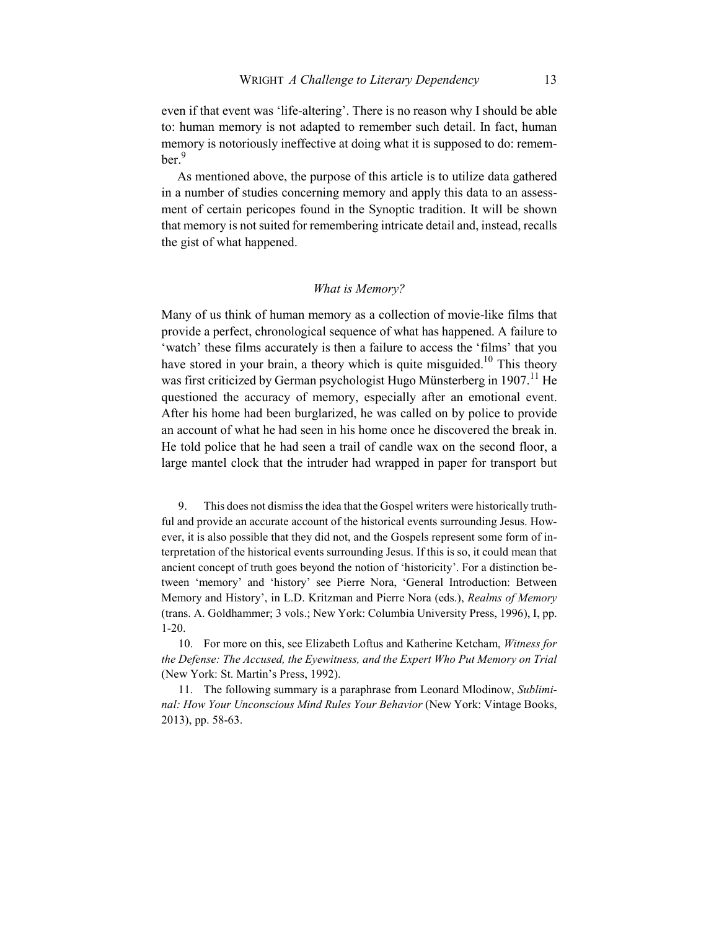even if that event was 'life-altering'. There is no reason why I should be able to: human memory is not adapted to remember such detail. In fact, human memory is notoriously ineffective at doing what it is supposed to do: remember.<sup>9</sup>

As mentioned above, the purpose of this article is to utilize data gathered in a number of studies concerning memory and apply this data to an assessment of certain pericopes found in the Synoptic tradition. It will be shown that memory is not suited for remembering intricate detail and, instead, recalls the gist of what happened.

### *What is Memory?*

Many of us think of human memory as a collection of movie-like films that provide a perfect, chronological sequence of what has happened. A failure to 'watch' these films accurately is then a failure to access the 'films' that you have stored in your brain, a theory which is quite misguided.<sup>10</sup> This theory was first criticized by German psychologist Hugo Münsterberg in  $1907$ .<sup>11</sup> He questioned the accuracy of memory, especially after an emotional event. After his home had been burglarized, he was called on by police to provide an account of what he had seen in his home once he discovered the break in. He told police that he had seen a trail of candle wax on the second floor, a large mantel clock that the intruder had wrapped in paper for transport but

9. This does not dismiss the idea that the Gospel writers were historically truthful and provide an accurate account of the historical events surrounding Jesus. However, it is also possible that they did not, and the Gospels represent some form of interpretation of the historical events surrounding Jesus. If this is so, it could mean that ancient concept of truth goes beyond the notion of 'historicity'. For a distinction between 'memory' and 'history' see Pierre Nora, 'General Introduction: Between Memory and History', in L.D. Kritzman and Pierre Nora (eds.), *Realms of Memory* (trans. A. Goldhammer; 3 vols.; New York: Columbia University Press, 1996), I, pp. 1-20.

10. For more on this, see Elizabeth Loftus and Katherine Ketcham, *Witness for the Defense: The Accused, the Eyewitness, and the Expert Who Put Memory on Trial* (New York: St. Martin's Press, 1992).

11. The following summary is a paraphrase from Leonard Mlodinow, *Subliminal: How Your Unconscious Mind Rules Your Behavior* (New York: Vintage Books, 2013), pp. 58-63.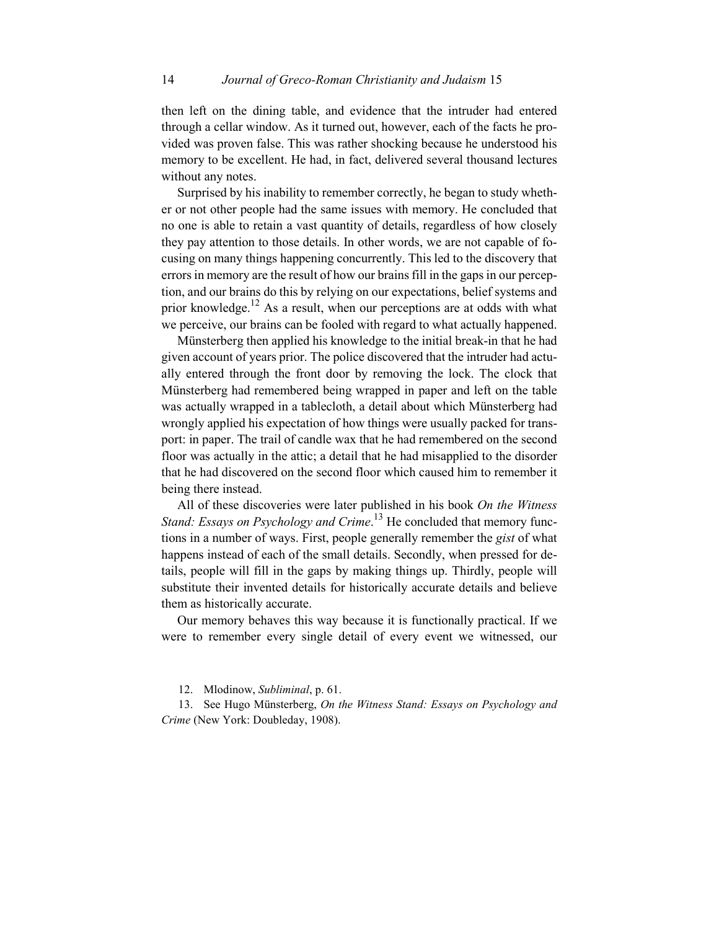then left on the dining table, and evidence that the intruder had entered through a cellar window. As it turned out, however, each of the facts he provided was proven false. This was rather shocking because he understood his memory to be excellent. He had, in fact, delivered several thousand lectures without any notes.

Surprised by his inability to remember correctly, he began to study whether or not other people had the same issues with memory. He concluded that no one is able to retain a vast quantity of details, regardless of how closely they pay attention to those details. In other words, we are not capable of focusing on many things happening concurrently. This led to the discovery that errors in memory are the result of how our brains fill in the gaps in our perception, and our brains do this by relying on our expectations, belief systems and prior knowledge.<sup>12</sup> As a result, when our perceptions are at odds with what we perceive, our brains can be fooled with regard to what actually happened.

Münsterberg then applied his knowledge to the initial break-in that he had given account of years prior. The police discovered that the intruder had actually entered through the front door by removing the lock. The clock that Münsterberg had remembered being wrapped in paper and left on the table was actually wrapped in a tablecloth, a detail about which Münsterberg had wrongly applied his expectation of how things were usually packed for transport: in paper. The trail of candle wax that he had remembered on the second floor was actually in the attic; a detail that he had misapplied to the disorder that he had discovered on the second floor which caused him to remember it being there instead.

All of these discoveries were later published in his book *On the Witness Stand: Essays on Psychology and Crime*. <sup>13</sup> He concluded that memory functions in a number of ways. First, people generally remember the *gist* of what happens instead of each of the small details. Secondly, when pressed for details, people will fill in the gaps by making things up. Thirdly, people will substitute their invented details for historically accurate details and believe them as historically accurate.

Our memory behaves this way because it is functionally practical. If we were to remember every single detail of every event we witnessed, our

12. Mlodinow, *Subliminal*, p. 61.

13. See Hugo Münsterberg, *On the Witness Stand: Essays on Psychology and Crime* (New York: Doubleday, 1908).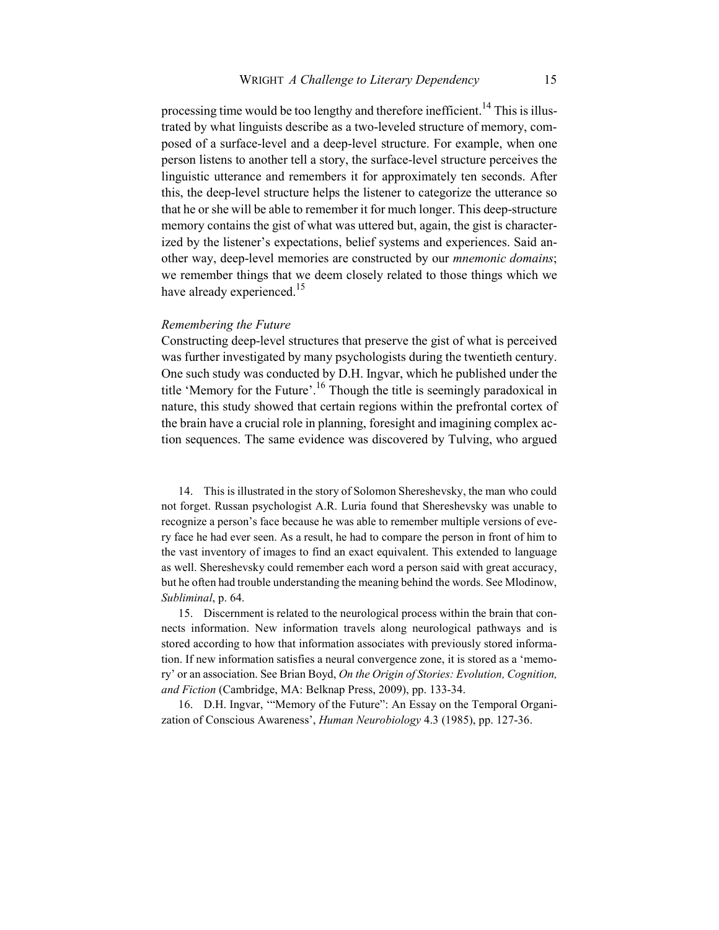processing time would be too lengthy and therefore inefficient.<sup>14</sup> This is illustrated by what linguists describe as a two-leveled structure of memory, composed of a surface-level and a deep-level structure. For example, when one person listens to another tell a story, the surface-level structure perceives the linguistic utterance and remembers it for approximately ten seconds. After this, the deep-level structure helps the listener to categorize the utterance so that he or she will be able to remember it for much longer. This deep-structure memory contains the gist of what was uttered but, again, the gist is characterized by the listener's expectations, belief systems and experiences. Said another way, deep-level memories are constructed by our *mnemonic domains*; we remember things that we deem closely related to those things which we have already experienced.<sup>15</sup>

## *Remembering the Future*

Constructing deep-level structures that preserve the gist of what is perceived was further investigated by many psychologists during the twentieth century. One such study was conducted by D.H. Ingvar, which he published under the title 'Memory for the Future'.<sup>16</sup> Though the title is seemingly paradoxical in nature, this study showed that certain regions within the prefrontal cortex of the brain have a crucial role in planning, foresight and imagining complex action sequences. The same evidence was discovered by Tulving, who argued

14. This is illustrated in the story of Solomon Shereshevsky, the man who could not forget. Russan psychologist A.R. Luria found that Shereshevsky was unable to recognize a person's face because he was able to remember multiple versions of every face he had ever seen. As a result, he had to compare the person in front of him to the vast inventory of images to find an exact equivalent. This extended to language as well. Shereshevsky could remember each word a person said with great accuracy, but he often had trouble understanding the meaning behind the words. See Mlodinow, *Subliminal*, p. 64.

15. Discernment is related to the neurological process within the brain that connects information. New information travels along neurological pathways and is stored according to how that information associates with previously stored information. If new information satisfies a neural convergence zone, it is stored as a 'memory' or an association. See Brian Boyd, *On the Origin of Stories: Evolution, Cognition, and Fiction* (Cambridge, MA: Belknap Press, 2009), pp. 133-34.

16. D.H. Ingvar, '"Memory of the Future": An Essay on the Temporal Organization of Conscious Awareness', *Human Neurobiology* 4.3 (1985), pp. 127-36.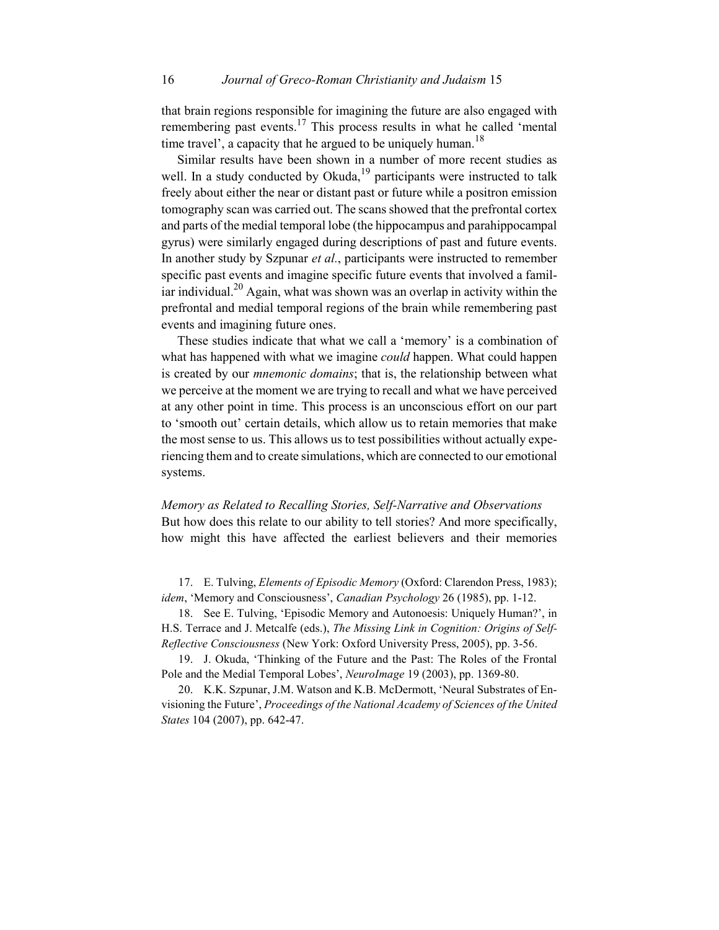that brain regions responsible for imagining the future are also engaged with remembering past events.<sup>17</sup> This process results in what he called 'mental time travel', a capacity that he argued to be uniquely human.<sup>18</sup>

Similar results have been shown in a number of more recent studies as well. In a study conducted by Okuda,  $19$  participants were instructed to talk freely about either the near or distant past or future while a positron emission tomography scan was carried out. The scans showed that the prefrontal cortex and parts of the medial temporal lobe (the hippocampus and parahippocampal gyrus) were similarly engaged during descriptions of past and future events. In another study by Szpunar *et al.*, participants were instructed to remember specific past events and imagine specific future events that involved a familiar individual.<sup>20</sup> Again, what was shown was an overlap in activity within the prefrontal and medial temporal regions of the brain while remembering past events and imagining future ones.

These studies indicate that what we call a 'memory' is a combination of what has happened with what we imagine *could* happen. What could happen is created by our *mnemonic domains*; that is, the relationship between what we perceive at the moment we are trying to recall and what we have perceived at any other point in time. This process is an unconscious effort on our part to 'smooth out' certain details, which allow us to retain memories that make the most sense to us. This allows us to test possibilities without actually experiencing them and to create simulations, which are connected to our emotional systems.

*Memory as Related to Recalling Stories, Self-Narrative and Observations*  But how does this relate to our ability to tell stories? And more specifically, how might this have affected the earliest believers and their memories

17. E. Tulving, *Elements of Episodic Memory* (Oxford: Clarendon Press, 1983); *idem*, 'Memory and Consciousness', *Canadian Psychology* 26 (1985), pp. 1-12.

18. See E. Tulving, 'Episodic Memory and Autonoesis: Uniquely Human?', in H.S. Terrace and J. Metcalfe (eds.), *The Missing Link in Cognition: Origins of Self-Reflective Consciousness* (New York: Oxford University Press, 2005), pp. 3-56.

19. J. Okuda, 'Thinking of the Future and the Past: The Roles of the Frontal Pole and the Medial Temporal Lobes', *NeuroImage* 19 (2003), pp. 1369-80.

20. K.K. Szpunar, J.M. Watson and K.B. McDermott, 'Neural Substrates of Envisioning the Future', *Proceedings of the National Academy of Sciences of the United States* 104 (2007), pp. 642-47.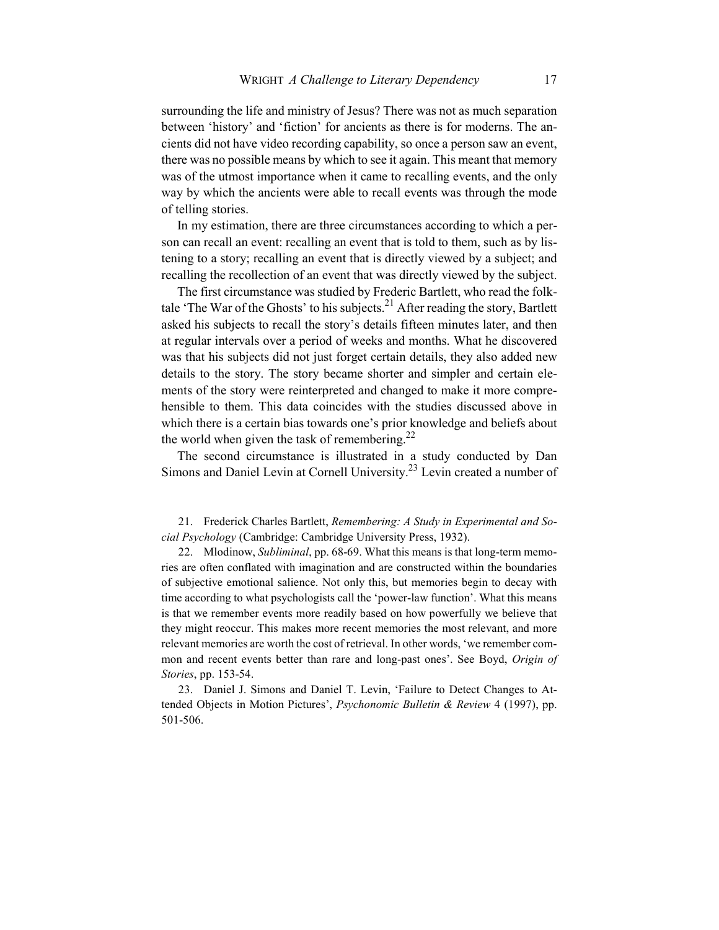surrounding the life and ministry of Jesus? There was not as much separation between 'history' and 'fiction' for ancients as there is for moderns. The ancients did not have video recording capability, so once a person saw an event, there was no possible means by which to see it again. This meant that memory was of the utmost importance when it came to recalling events, and the only way by which the ancients were able to recall events was through the mode of telling stories.

In my estimation, there are three circumstances according to which a person can recall an event: recalling an event that is told to them, such as by listening to a story; recalling an event that is directly viewed by a subject; and recalling the recollection of an event that was directly viewed by the subject.

The first circumstance was studied by Frederic Bartlett, who read the folktale 'The War of the Ghosts' to his subjects.<sup>21</sup> After reading the story, Bartlett asked his subjects to recall the story's details fifteen minutes later, and then at regular intervals over a period of weeks and months. What he discovered was that his subjects did not just forget certain details, they also added new details to the story. The story became shorter and simpler and certain elements of the story were reinterpreted and changed to make it more comprehensible to them. This data coincides with the studies discussed above in which there is a certain bias towards one's prior knowledge and beliefs about the world when given the task of remembering. $^{22}$ 

The second circumstance is illustrated in a study conducted by Dan Simons and Daniel Levin at Cornell University.23 Levin created a number of

21. Frederick Charles Bartlett, *Remembering: A Study in Experimental and Social Psychology* (Cambridge: Cambridge University Press, 1932).

22. Mlodinow, *Subliminal*, pp. 68-69. What this means is that long-term memories are often conflated with imagination and are constructed within the boundaries of subjective emotional salience. Not only this, but memories begin to decay with time according to what psychologists call the 'power-law function'. What this means is that we remember events more readily based on how powerfully we believe that they might reoccur. This makes more recent memories the most relevant, and more relevant memories are worth the cost of retrieval. In other words, 'we remember common and recent events better than rare and long-past ones'. See Boyd, *Origin of Stories*, pp. 153-54.

23. Daniel J. Simons and Daniel T. Levin, 'Failure to Detect Changes to Attended Objects in Motion Pictures', *Psychonomic Bulletin & Review* 4 (1997), pp. 501-506.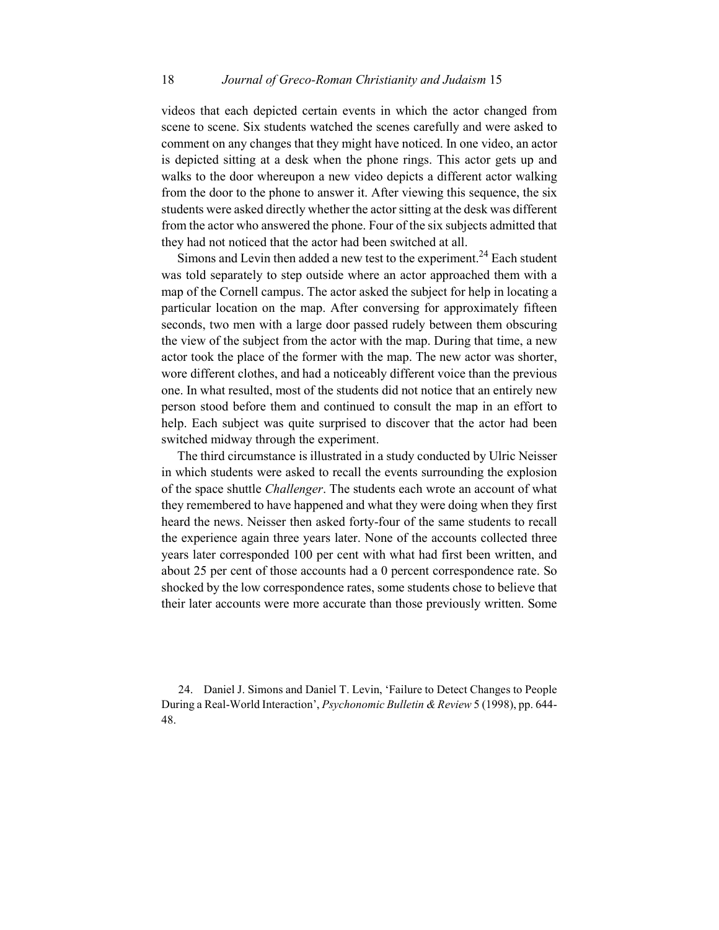videos that each depicted certain events in which the actor changed from scene to scene. Six students watched the scenes carefully and were asked to comment on any changes that they might have noticed. In one video, an actor is depicted sitting at a desk when the phone rings. This actor gets up and walks to the door whereupon a new video depicts a different actor walking from the door to the phone to answer it. After viewing this sequence, the six students were asked directly whether the actor sitting at the desk was different from the actor who answered the phone. Four of the six subjects admitted that they had not noticed that the actor had been switched at all.

Simons and Levin then added a new test to the experiment.<sup>24</sup> Each student was told separately to step outside where an actor approached them with a map of the Cornell campus. The actor asked the subject for help in locating a particular location on the map. After conversing for approximately fifteen seconds, two men with a large door passed rudely between them obscuring the view of the subject from the actor with the map. During that time, a new actor took the place of the former with the map. The new actor was shorter, wore different clothes, and had a noticeably different voice than the previous one. In what resulted, most of the students did not notice that an entirely new person stood before them and continued to consult the map in an effort to help. Each subject was quite surprised to discover that the actor had been switched midway through the experiment.

The third circumstance is illustrated in a study conducted by Ulric Neisser in which students were asked to recall the events surrounding the explosion of the space shuttle *Challenger*. The students each wrote an account of what they remembered to have happened and what they were doing when they first heard the news. Neisser then asked forty-four of the same students to recall the experience again three years later. None of the accounts collected three years later corresponded 100 per cent with what had first been written, and about 25 per cent of those accounts had a 0 percent correspondence rate. So shocked by the low correspondence rates, some students chose to believe that their later accounts were more accurate than those previously written. Some

24. Daniel J. Simons and Daniel T. Levin, 'Failure to Detect Changes to People During a Real-World Interaction', *Psychonomic Bulletin & Review* 5 (1998), pp. 644- 48.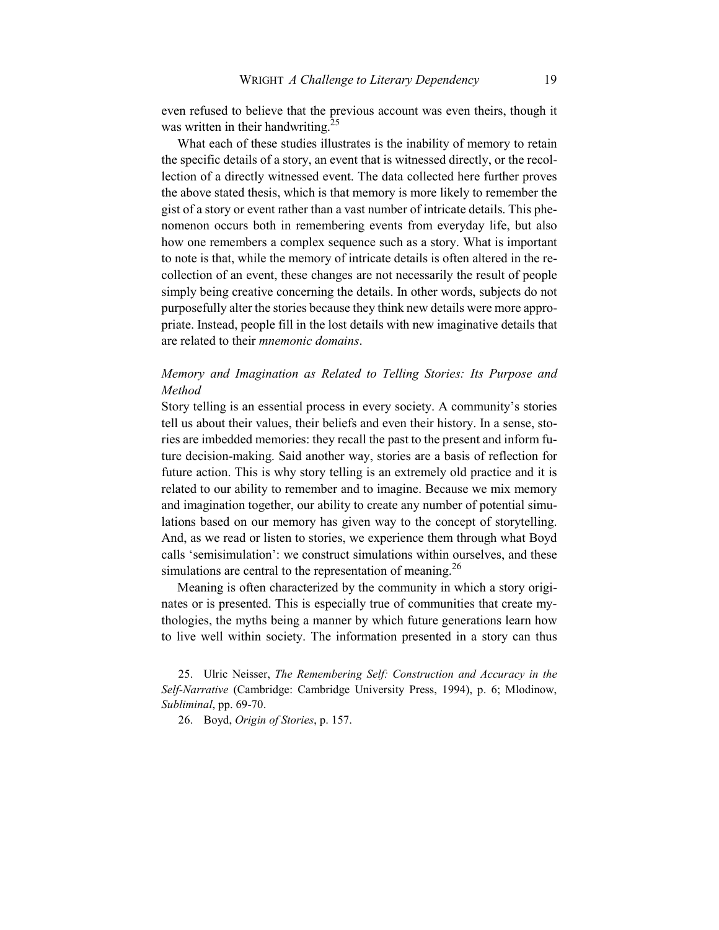even refused to believe that the previous account was even theirs, though it was written in their handwriting.<sup>25</sup>

What each of these studies illustrates is the inability of memory to retain the specific details of a story, an event that is witnessed directly, or the recollection of a directly witnessed event. The data collected here further proves the above stated thesis, which is that memory is more likely to remember the gist of a story or event rather than a vast number of intricate details. This phenomenon occurs both in remembering events from everyday life, but also how one remembers a complex sequence such as a story. What is important to note is that, while the memory of intricate details is often altered in the recollection of an event, these changes are not necessarily the result of people simply being creative concerning the details. In other words, subjects do not purposefully alter the stories because they think new details were more appropriate. Instead, people fill in the lost details with new imaginative details that are related to their *mnemonic domains*.

## *Memory and Imagination as Related to Telling Stories: Its Purpose and Method*

Story telling is an essential process in every society. A community's stories tell us about their values, their beliefs and even their history. In a sense, stories are imbedded memories: they recall the past to the present and inform future decision-making. Said another way, stories are a basis of reflection for future action. This is why story telling is an extremely old practice and it is related to our ability to remember and to imagine. Because we mix memory and imagination together, our ability to create any number of potential simulations based on our memory has given way to the concept of storytelling. And, as we read or listen to stories, we experience them through what Boyd calls 'semisimulation': we construct simulations within ourselves, and these simulations are central to the representation of meaning.<sup>26</sup>

Meaning is often characterized by the community in which a story originates or is presented. This is especially true of communities that create mythologies, the myths being a manner by which future generations learn how to live well within society. The information presented in a story can thus

25. Ulric Neisser, *The Remembering Self: Construction and Accuracy in the Self-Narrative* (Cambridge: Cambridge University Press, 1994), p. 6; Mlodinow, *Subliminal*, pp. 69-70.

26. Boyd, *Origin of Stories*, p. 157.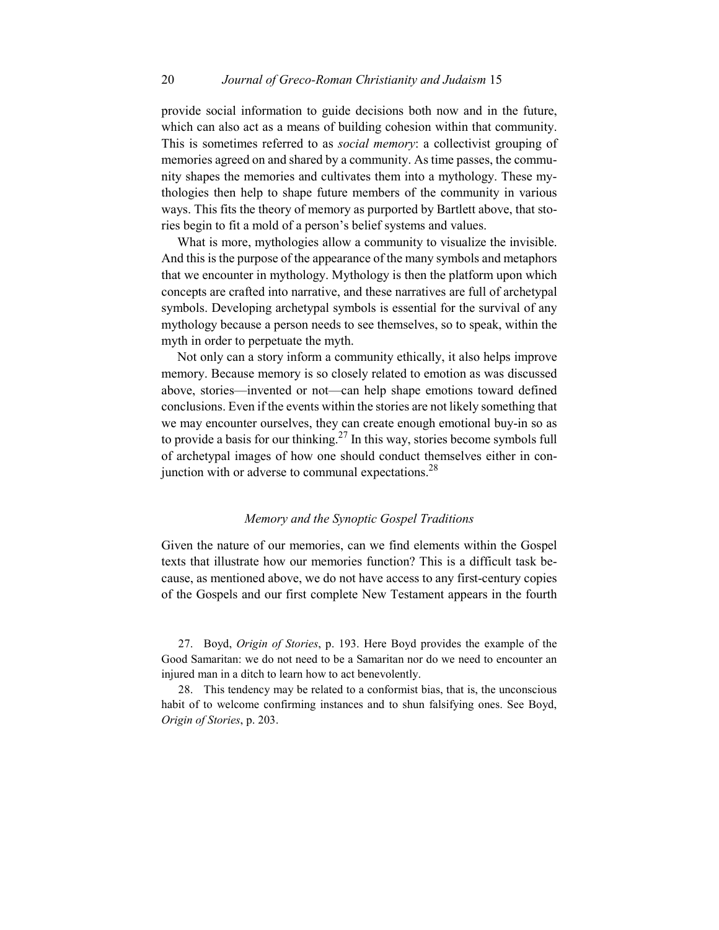provide social information to guide decisions both now and in the future, which can also act as a means of building cohesion within that community. This is sometimes referred to as *social memory*: a collectivist grouping of memories agreed on and shared by a community. As time passes, the community shapes the memories and cultivates them into a mythology. These mythologies then help to shape future members of the community in various ways. This fits the theory of memory as purported by Bartlett above, that stories begin to fit a mold of a person's belief systems and values.

What is more, mythologies allow a community to visualize the invisible. And this is the purpose of the appearance of the many symbols and metaphors that we encounter in mythology. Mythology is then the platform upon which concepts are crafted into narrative, and these narratives are full of archetypal symbols. Developing archetypal symbols is essential for the survival of any mythology because a person needs to see themselves, so to speak, within the myth in order to perpetuate the myth.

Not only can a story inform a community ethically, it also helps improve memory. Because memory is so closely related to emotion as was discussed above, stories—invented or not—can help shape emotions toward defined conclusions. Even if the events within the stories are not likely something that we may encounter ourselves, they can create enough emotional buy-in so as to provide a basis for our thinking.<sup>27</sup> In this way, stories become symbols full of archetypal images of how one should conduct themselves either in conjunction with or adverse to communal expectations. $^{28}$ 

### *Memory and the Synoptic Gospel Traditions*

Given the nature of our memories, can we find elements within the Gospel texts that illustrate how our memories function? This is a difficult task because, as mentioned above, we do not have access to any first-century copies of the Gospels and our first complete New Testament appears in the fourth

27. Boyd, *Origin of Stories*, p. 193. Here Boyd provides the example of the Good Samaritan: we do not need to be a Samaritan nor do we need to encounter an injured man in a ditch to learn how to act benevolently.

28. This tendency may be related to a conformist bias, that is, the unconscious habit of to welcome confirming instances and to shun falsifying ones. See Boyd, *Origin of Stories*, p. 203.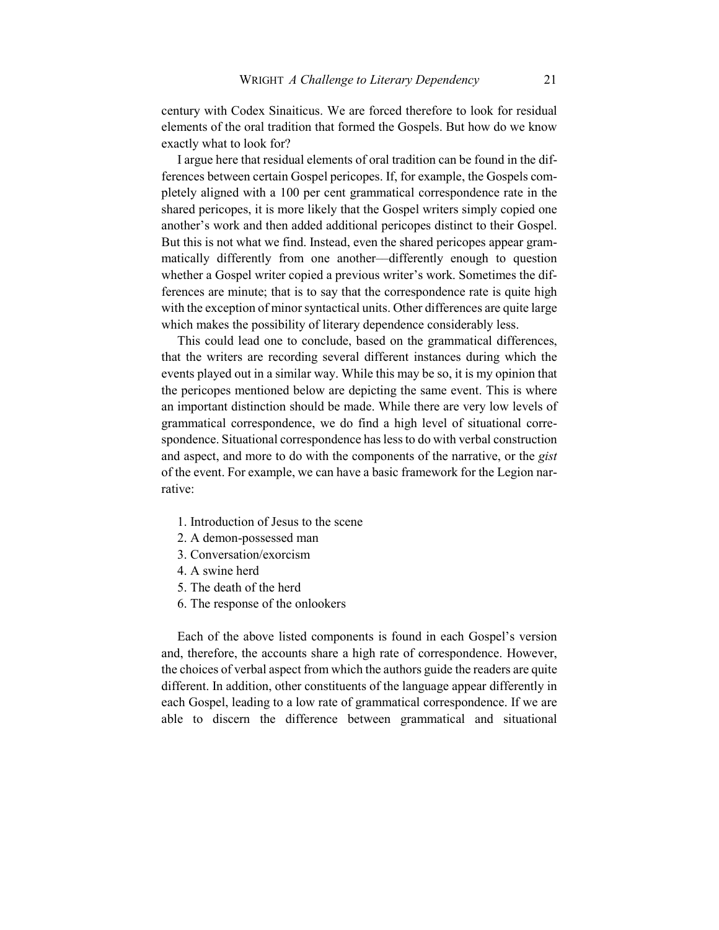century with Codex Sinaiticus. We are forced therefore to look for residual elements of the oral tradition that formed the Gospels. But how do we know exactly what to look for?

I argue here that residual elements of oral tradition can be found in the differences between certain Gospel pericopes. If, for example, the Gospels completely aligned with a 100 per cent grammatical correspondence rate in the shared pericopes, it is more likely that the Gospel writers simply copied one another's work and then added additional pericopes distinct to their Gospel. But this is not what we find. Instead, even the shared pericopes appear grammatically differently from one another––differently enough to question whether a Gospel writer copied a previous writer's work. Sometimes the differences are minute; that is to say that the correspondence rate is quite high with the exception of minor syntactical units. Other differences are quite large which makes the possibility of literary dependence considerably less.

This could lead one to conclude, based on the grammatical differences, that the writers are recording several different instances during which the events played out in a similar way. While this may be so, it is my opinion that the pericopes mentioned below are depicting the same event. This is where an important distinction should be made. While there are very low levels of grammatical correspondence, we do find a high level of situational correspondence. Situational correspondence has less to do with verbal construction and aspect, and more to do with the components of the narrative, or the *gist* of the event. For example, we can have a basic framework for the Legion narrative:

- 1. Introduction of Jesus to the scene
- 2. A demon-possessed man
- 3. Conversation/exorcism
- 4. A swine herd
- 5. The death of the herd
- 6. The response of the onlookers

Each of the above listed components is found in each Gospel's version and, therefore, the accounts share a high rate of correspondence. However, the choices of verbal aspect from which the authors guide the readers are quite different. In addition, other constituents of the language appear differently in each Gospel, leading to a low rate of grammatical correspondence. If we are able to discern the difference between grammatical and situational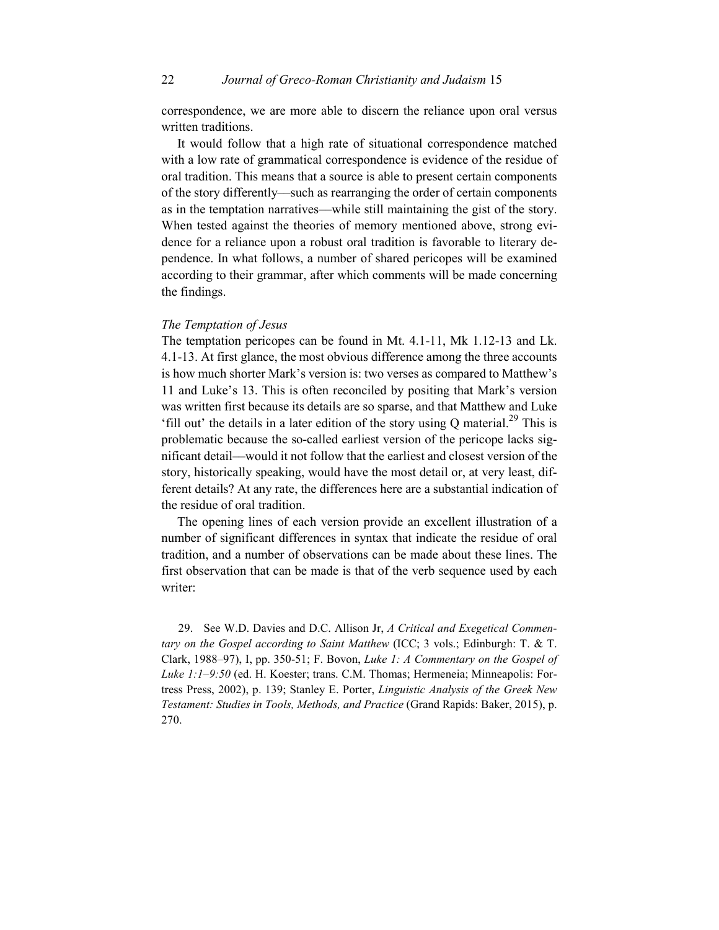correspondence, we are more able to discern the reliance upon oral versus written traditions.

It would follow that a high rate of situational correspondence matched with a low rate of grammatical correspondence is evidence of the residue of oral tradition. This means that a source is able to present certain components of the story differently––such as rearranging the order of certain components as in the temptation narratives––while still maintaining the gist of the story. When tested against the theories of memory mentioned above, strong evidence for a reliance upon a robust oral tradition is favorable to literary dependence. In what follows, a number of shared pericopes will be examined according to their grammar, after which comments will be made concerning the findings.

## *The Temptation of Jesus*

The temptation pericopes can be found in Mt. 4.1-11, Mk 1.12-13 and Lk. 4.1-13. At first glance, the most obvious difference among the three accounts is how much shorter Mark's version is: two verses as compared to Matthew's 11 and Luke's 13. This is often reconciled by positing that Mark's version was written first because its details are so sparse, and that Matthew and Luke 'fill out' the details in a later edition of the story using Q material.<sup>29</sup> This is problematic because the so-called earliest version of the pericope lacks significant detail––would it not follow that the earliest and closest version of the story, historically speaking, would have the most detail or, at very least, different details? At any rate, the differences here are a substantial indication of the residue of oral tradition.

The opening lines of each version provide an excellent illustration of a number of significant differences in syntax that indicate the residue of oral tradition, and a number of observations can be made about these lines. The first observation that can be made is that of the verb sequence used by each writer:

29. See W.D. Davies and D.C. Allison Jr, *A Critical and Exegetical Commentary on the Gospel according to Saint Matthew* (ICC; 3 vols.; Edinburgh: T. & T. Clark, 1988–97), I, pp. 350-51; F. Bovon, *Luke 1: A Commentary on the Gospel of Luke 1:1–9:50* (ed. H. Koester; trans. C.M. Thomas; Hermeneia; Minneapolis: Fortress Press, 2002), p. 139; Stanley E. Porter, *Linguistic Analysis of the Greek New Testament: Studies in Tools, Methods, and Practice* (Grand Rapids: Baker, 2015), p. 270.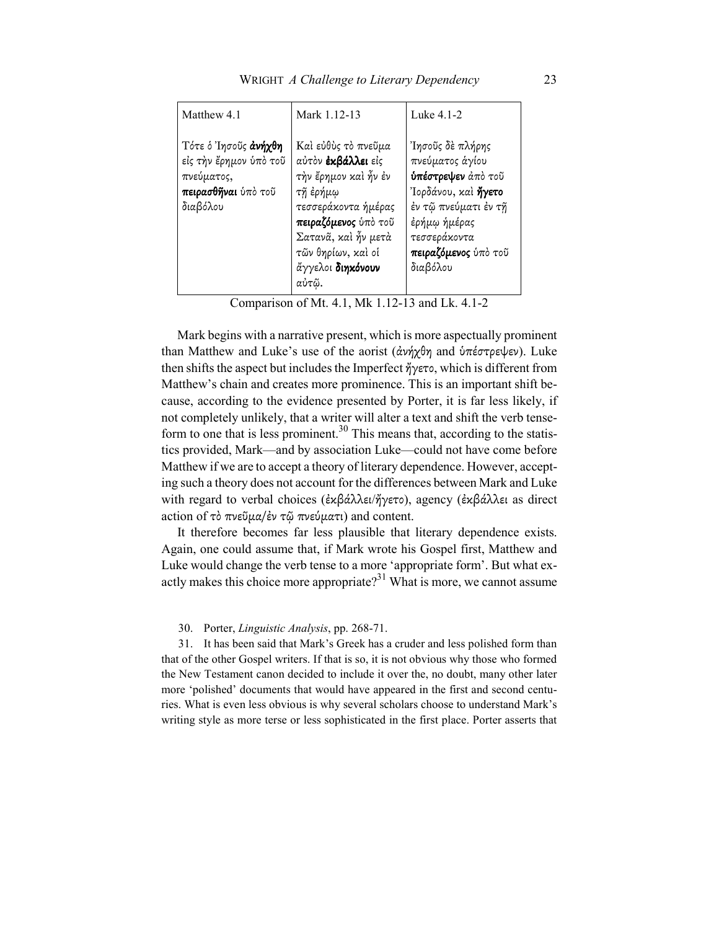| Matthew 4.1                                                                                            | Mark 1.12-13                                                                                                                                                                                            | Luke 4.1-2                                                                                                                                                                   |
|--------------------------------------------------------------------------------------------------------|---------------------------------------------------------------------------------------------------------------------------------------------------------------------------------------------------------|------------------------------------------------------------------------------------------------------------------------------------------------------------------------------|
| Τότε ο Ίησοῦς άνήχθη<br>είς την έρημον ύπο τοῦ<br>πνεύματος,<br><b>πειρασθῆναι</b> ὑπὸ τοῦ<br>διαβόλου | Καὶ εὐθὺς τὸ πνεῦμα<br>αύτον έκβάλλει είς<br>τὴν ἔρημον καὶ ἦν ἐν<br>τῆ ἐρήμῳ<br>τεσσεράκοντα ήμέρας<br>πειραζόμενος ύπό του<br>Σατανᾶ, καὶ ἦν μετὰ<br>τῶν θηρίων, καὶ οἱ<br>άγγελοι διηκόνουν<br>αὐτῷ. | Ίησοῦς δὲ πλήρης<br>πνεύματος άγίου<br>ύπέστρεψεν άπό τοῦ<br>Ίορδάνου, καί ήγετο<br>έν τῷ πνεύματι έν τῆ<br>έρήμω ήμέρας<br>τεσσεράκοντα<br>πειραζόμενος ύπό του<br>διαβόλου |

Comparison of Mt. 4.1, Mk 1.12-13 and Lk. 4.1-2

Mark begins with a narrative present, which is more aspectually prominent than Matthew and Luke's use of the aorist (ἀνήχθη and ὑπέστρεψεν). Luke then shifts the aspect but includes the Imperfect ἤγετο, which is different from Matthew's chain and creates more prominence. This is an important shift because, according to the evidence presented by Porter, it is far less likely, if not completely unlikely, that a writer will alter a text and shift the verb tenseform to one that is less prominent.<sup>30</sup> This means that, according to the statistics provided, Mark—and by association Luke—could not have come before Matthew if we are to accept a theory of literary dependence. However, accepting such a theory does not account for the differences between Mark and Luke with regard to verbal choices (ἐκβάλλει/ἤγετο), agency (ἐκβάλλει as direct action of τὸ πνεῦµα/ἐν τῷ πνεύµατι) and content.

It therefore becomes far less plausible that literary dependence exists. Again, one could assume that, if Mark wrote his Gospel first, Matthew and Luke would change the verb tense to a more 'appropriate form'. But what exactly makes this choice more appropriate?<sup>31</sup> What is more, we cannot assume

#### 30. Porter, *Linguistic Analysis*, pp. 268-71.

31. It has been said that Mark's Greek has a cruder and less polished form than that of the other Gospel writers. If that is so, it is not obvious why those who formed the New Testament canon decided to include it over the, no doubt, many other later more 'polished' documents that would have appeared in the first and second centuries. What is even less obvious is why several scholars choose to understand Mark's writing style as more terse or less sophisticated in the first place. Porter asserts that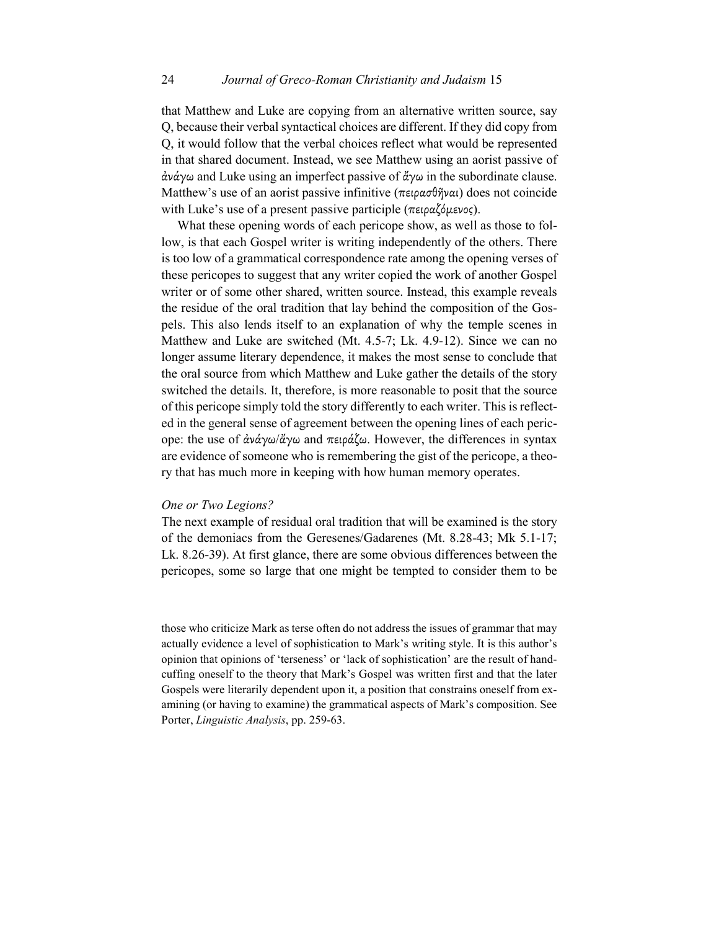that Matthew and Luke are copying from an alternative written source, say Q, because their verbal syntactical choices are different. If they did copy from Q, it would follow that the verbal choices reflect what would be represented in that shared document. Instead, we see Matthew using an aorist passive of ἀνάγω and Luke using an imperfect passive of ἄγω in the subordinate clause. Matthew's use of an aorist passive infinitive (πειρασθῆναι) does not coincide with Luke's use of a present passive participle (πειραζόμενος).

What these opening words of each pericope show, as well as those to follow, is that each Gospel writer is writing independently of the others. There is too low of a grammatical correspondence rate among the opening verses of these pericopes to suggest that any writer copied the work of another Gospel writer or of some other shared, written source. Instead, this example reveals the residue of the oral tradition that lay behind the composition of the Gospels. This also lends itself to an explanation of why the temple scenes in Matthew and Luke are switched (Mt. 4.5-7; Lk. 4.9-12). Since we can no longer assume literary dependence, it makes the most sense to conclude that the oral source from which Matthew and Luke gather the details of the story switched the details. It, therefore, is more reasonable to posit that the source of this pericope simply told the story differently to each writer. This is reflected in the general sense of agreement between the opening lines of each pericope: the use of ἀνάγω/ἄγω and πειράζω. However, the differences in syntax are evidence of someone who is remembering the gist of the pericope, a theory that has much more in keeping with how human memory operates.

### *One or Two Legions?*

The next example of residual oral tradition that will be examined is the story of the demoniacs from the Geresenes/Gadarenes (Mt. 8.28-43; Mk 5.1-17; Lk. 8.26-39). At first glance, there are some obvious differences between the pericopes, some so large that one might be tempted to consider them to be

those who criticize Mark as terse often do not address the issues of grammar that may actually evidence a level of sophistication to Mark's writing style. It is this author's opinion that opinions of 'terseness' or 'lack of sophistication' are the result of handcuffing oneself to the theory that Mark's Gospel was written first and that the later Gospels were literarily dependent upon it, a position that constrains oneself from examining (or having to examine) the grammatical aspects of Mark's composition. See Porter, *Linguistic Analysis*, pp. 259-63.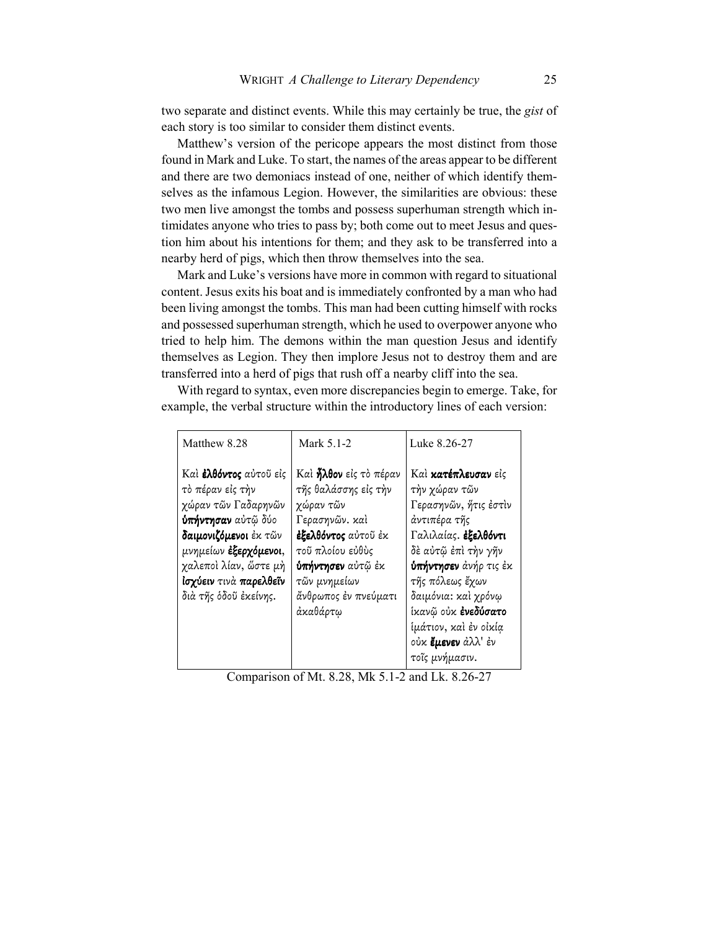two separate and distinct events. While this may certainly be true, the *gist* of each story is too similar to consider them distinct events.

Matthew's version of the pericope appears the most distinct from those found in Mark and Luke. To start, the names of the areas appear to be different and there are two demoniacs instead of one, neither of which identify themselves as the infamous Legion. However, the similarities are obvious: these two men live amongst the tombs and possess superhuman strength which intimidates anyone who tries to pass by; both come out to meet Jesus and question him about his intentions for them; and they ask to be transferred into a nearby herd of pigs, which then throw themselves into the sea.

Mark and Luke's versions have more in common with regard to situational content. Jesus exits his boat and is immediately confronted by a man who had been living amongst the tombs. This man had been cutting himself with rocks and possessed superhuman strength, which he used to overpower anyone who tried to help him. The demons within the man question Jesus and identify themselves as Legion. They then implore Jesus not to destroy them and are transferred into a herd of pigs that rush off a nearby cliff into the sea.

With regard to syntax, even more discrepancies begin to emerge. Take, for example, the verbal structure within the introductory lines of each version:

| Matthew 8.28                                                                                                                                                                                                                        | Mark 5.1-2                                                                                                                                                                                                      | Luke 8.26-27                                                                                                                                                                                                                                                                                                 |
|-------------------------------------------------------------------------------------------------------------------------------------------------------------------------------------------------------------------------------------|-----------------------------------------------------------------------------------------------------------------------------------------------------------------------------------------------------------------|--------------------------------------------------------------------------------------------------------------------------------------------------------------------------------------------------------------------------------------------------------------------------------------------------------------|
| Καὶ <b>ἐλθόντος</b> αὐτοῦ εἰς<br>τὸ πέραν εἰς τὴν<br>χώραν τῶν Γαδαρηνῶν<br><b>ύπήντησαν</b> αὐτῷ δύο<br>δαιμονιζόμενοι έκ τῶν<br>μνημείων έξερχόμενοι,<br>χαλεποὶ λίαν, ὥστε μὴ<br>ίσχύειν τινά παρελθεΐν<br>διά τῆς ὁδοῦ ἐκείνης. | Καὶ <b>ἦλθον</b> εἰς τὸ πέραν<br>τῆς θαλάσσης εἰς τὴν<br>χώραν τῶν<br>Γερασηνῶν. καὶ<br>έξελθόντος αύτοῦ έκ<br>τοῦ πλοίου εὐθὺς<br><b>ύπήντησεν</b> αὐτῷ ἐκ<br>τῶν μνημείων<br>ἄνθρωπος ἐν πνεύματι<br>άκαθάρτω | Καί κατέπλευσαν είς<br>τὴν χώραν τῶν<br>Γερασηνών, ήτις έστιν<br>άντιπέρα τῆς<br>Γαλιλαίας. έξελθόντι<br>δὲ αὐτῷ ἐπὶ τὴν γῆν<br><b>ύπήντησεν</b> άνήρ τις έκ<br>τῆς πόλεως ἔχων<br>δαιμόνια: καὶ χρόνω<br>ίκανῷ οὐκ <b>ἐνεδύσατο</b><br>ίμάτιον, καὶ ἐν οἰκία<br>ούκ <b>ἔμενεν</b> ἀλλ' ἐν<br>τοΐς μνήμασιν. |

Comparison of Mt. 8.28, Mk 5.1-2 and Lk. 8.26-27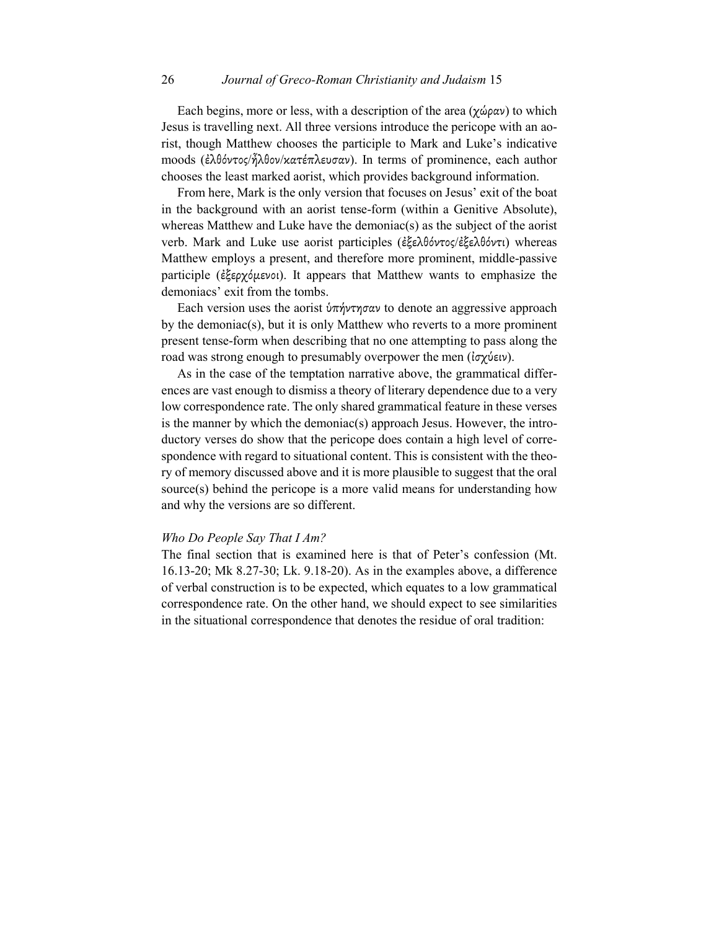Each begins, more or less, with a description of the area  $(\chi \omega \rho \alpha \nu)$  to which Jesus is travelling next. All three versions introduce the pericope with an aorist, though Matthew chooses the participle to Mark and Luke's indicative moods (ἐλθόντος/ἦλθον/κατέπλευσαν). In terms of prominence, each author chooses the least marked aorist, which provides background information.

From here, Mark is the only version that focuses on Jesus' exit of the boat in the background with an aorist tense-form (within a Genitive Absolute), whereas Matthew and Luke have the demoniac(s) as the subject of the aorist verb. Mark and Luke use aorist participles (ἐξελθόντος/ἐξελθόντι) whereas Matthew employs a present, and therefore more prominent, middle-passive participle (ἐξερχόµενοι). It appears that Matthew wants to emphasize the demoniacs' exit from the tombs.

Each version uses the aorist  $\phi \pi \gamma \gamma \sigma \alpha \nu$  to denote an aggressive approach by the demoniac(s), but it is only Matthew who reverts to a more prominent present tense-form when describing that no one attempting to pass along the road was strong enough to presumably overpower the men (ἰσχύειν).

As in the case of the temptation narrative above, the grammatical differences are vast enough to dismiss a theory of literary dependence due to a very low correspondence rate. The only shared grammatical feature in these verses is the manner by which the demoniac(s) approach Jesus. However, the introductory verses do show that the pericope does contain a high level of correspondence with regard to situational content. This is consistent with the theory of memory discussed above and it is more plausible to suggest that the oral source(s) behind the pericope is a more valid means for understanding how and why the versions are so different.

#### *Who Do People Say That I Am?*

The final section that is examined here is that of Peter's confession (Mt. 16.13-20; Mk 8.27-30; Lk. 9.18-20). As in the examples above, a difference of verbal construction is to be expected, which equates to a low grammatical correspondence rate. On the other hand, we should expect to see similarities in the situational correspondence that denotes the residue of oral tradition: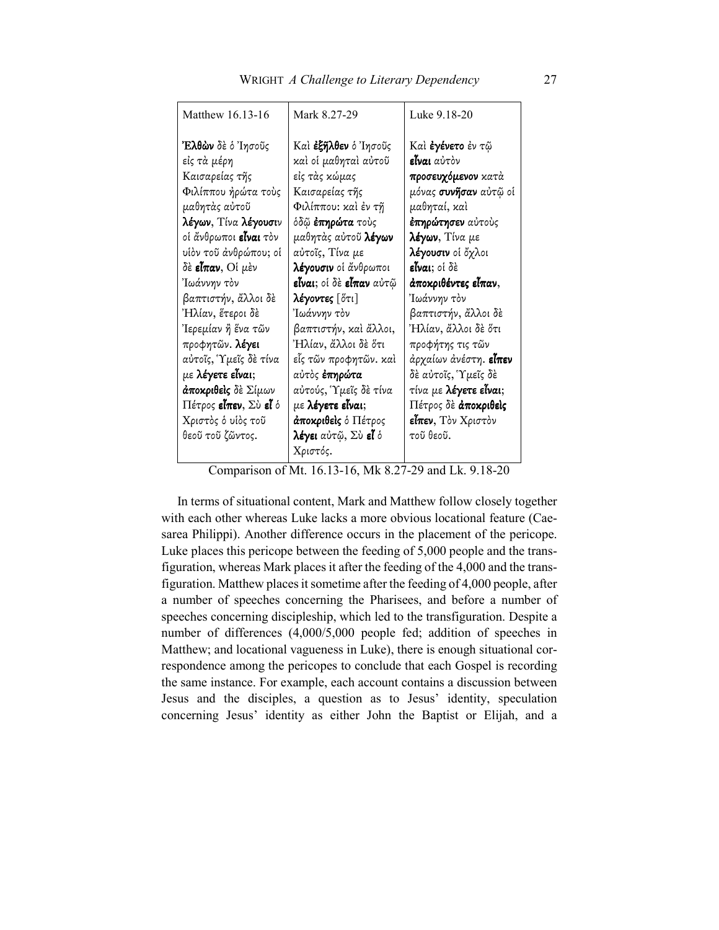Comparison of Mt. 16.13-16, Mk 8.27-29 and Lk. 9.18-20

In terms of situational content, Mark and Matthew follow closely together with each other whereas Luke lacks a more obvious locational feature (Caesarea Philippi). Another difference occurs in the placement of the pericope. Luke places this pericope between the feeding of 5,000 people and the transfiguration, whereas Mark places it after the feeding of the 4,000 and the transfiguration. Matthew places it sometime after the feeding of 4,000 people, after a number of speeches concerning the Pharisees, and before a number of speeches concerning discipleship, which led to the transfiguration. Despite a number of differences (4,000/5,000 people fed; addition of speeches in Matthew; and locational vagueness in Luke), there is enough situational correspondence among the pericopes to conclude that each Gospel is recording the same instance. For example, each account contains a discussion between Jesus and the disciples, a question as to Jesus' identity, speculation concerning Jesus' identity as either John the Baptist or Elijah, and a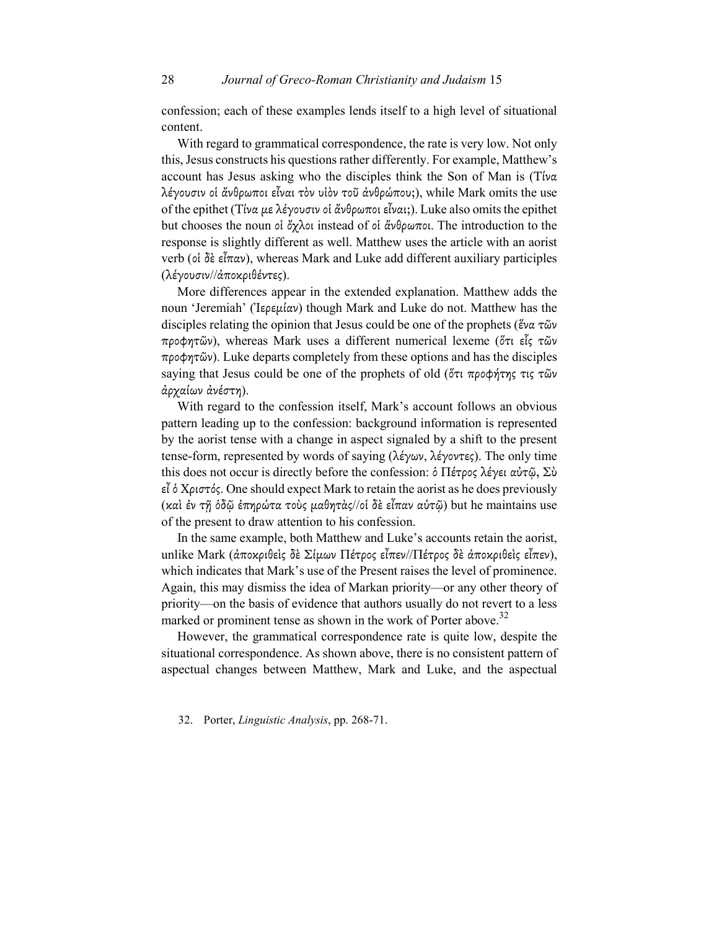confession; each of these examples lends itself to a high level of situational content.

With regard to grammatical correspondence, the rate is very low. Not only this, Jesus constructs his questions rather differently. For example, Matthew's account has Jesus asking who the disciples think the Son of Man is (Τίνα λέγουσιν οἱ ἄνθρωποι εἶναι τὸν υἱὸν τοῦ ἀνθρώπου;), while Mark omits the use of the epithet (Τίνα µε λέγουσιν οἱ ἄνθρωποι εἶναι;). Luke also omits the epithet but chooses the noun οἱ ὄχλοι instead of οἱ ἄνθρωποι. The introduction to the response is slightly different as well. Matthew uses the article with an aorist verb (οἱ δὲ εἶπαν), whereas Mark and Luke add different auxiliary participles (λέγουσιν//ἀποκριθέντες).

More differences appear in the extended explanation. Matthew adds the noun 'Jeremiah' (Ἰερεμίαν) though Mark and Luke do not. Matthew has the disciples relating the opinion that Jesus could be one of the prophets (ἕνα τῶν προφητῶν), whereas Mark uses a different numerical lexeme (ὅτι εἷς τῶν προφητῶν). Luke departs completely from these options and has the disciples saying that Jesus could be one of the prophets of old (ὅτι προφήτης τις τῶν ἀρχαίων ἀνέστη).

With regard to the confession itself, Mark's account follows an obvious pattern leading up to the confession: background information is represented by the aorist tense with a change in aspect signaled by a shift to the present tense-form, represented by words of saying (λέγων, λέγοντες). The only time this does not occur is directly before the confession: ὁ Πέτρος λέγει αὐτῷ, Σὺ εἶ ὁ Χριστός. One should expect Mark to retain the aorist as he does previously (καὶ ἐν τῇ ὁδῷ ἐπηρώτα τοὺς µαθητὰς//οἱ δὲ εἶπαν αὐτῷ) but he maintains use of the present to draw attention to his confession.

In the same example, both Matthew and Luke's accounts retain the aorist, unlike Mark (ἀποκριθεὶς δὲ Σίµων Πέτρος εἶπεν//Πέτρος δὲ ἀποκριθεὶς εἶπεν), which indicates that Mark's use of the Present raises the level of prominence. Again, this may dismiss the idea of Markan priority—or any other theory of priority––on the basis of evidence that authors usually do not revert to a less marked or prominent tense as shown in the work of Porter above.<sup>32</sup>

However, the grammatical correspondence rate is quite low, despite the situational correspondence. As shown above, there is no consistent pattern of aspectual changes between Matthew, Mark and Luke, and the aspectual

32. Porter, *Linguistic Analysis*, pp. 268-71.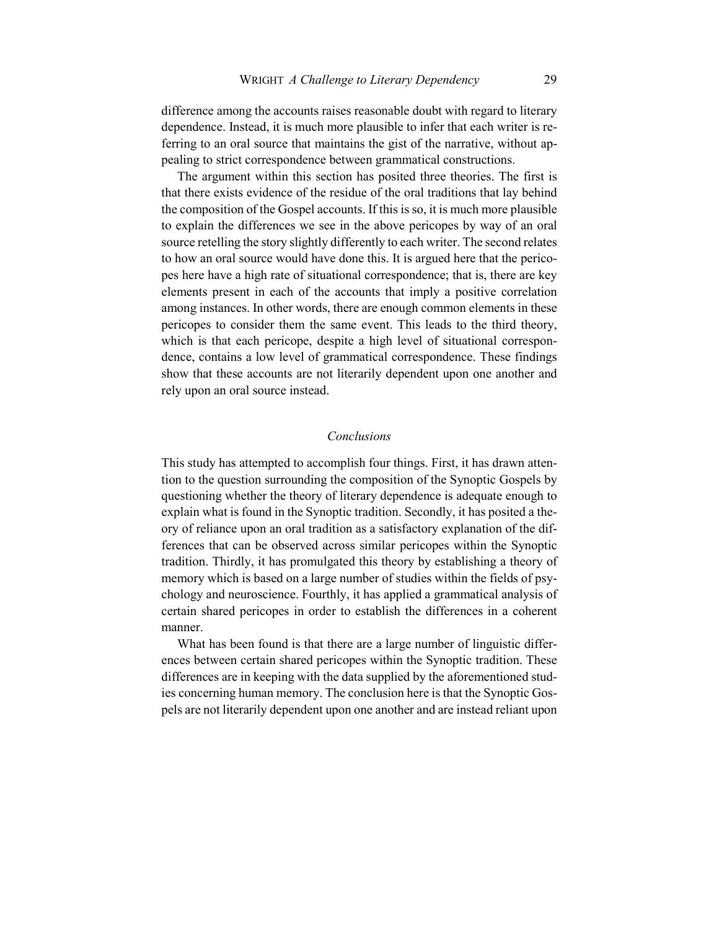difference among the accounts raises reasonable doubt with regard to literary dependence. Instead, it is much more plausible to infer that each writer is referring to an oral source that maintains the gist of the narrative, without appealing to strict correspondence between grammatical constructions.

The argument within this section has posited three theories. The first is that there exists evidence of the residue of the oral traditions that lay behind the composition of the Gospel accounts. If this is so, it is much more plausible to explain the differences we see in the above pericopes by way of an oral source retelling the story slightly differently to each writer. The second relates to how an oral source would have done this. It is argued here that the pericopes here have a high rate of situational correspondence; that is, there are key elements present in each of the accounts that imply a positive correlation among instances. In other words, there are enough common elements in these pericopes to consider them the same event. This leads to the third theory, which is that each pericope, despite a high level of situational correspondence, contains a low level of grammatical correspondence. These findings show that these accounts are not literarily dependent upon one another and rely upon an oral source instead.

#### *Conclusions*

This study has attempted to accomplish four things. First, it has drawn attention to the question surrounding the composition of the Synoptic Gospels by questioning whether the theory of literary dependence is adequate enough to explain what is found in the Synoptic tradition. Secondly, it has posited a theory of reliance upon an oral tradition as a satisfactory explanation of the differences that can be observed across similar pericopes within the Synoptic tradition. Thirdly, it has promulgated this theory by establishing a theory of memory which is based on a large number of studies within the fields of psychology and neuroscience. Fourthly, it has applied a grammatical analysis of certain shared pericopes in order to establish the differences in a coherent manner.

What has been found is that there are a large number of linguistic differences between certain shared pericopes within the Synoptic tradition. These differences are in keeping with the data supplied by the aforementioned studies concerning human memory. The conclusion here is that the Synoptic Gospels are not literarily dependent upon one another and are instead reliant upon